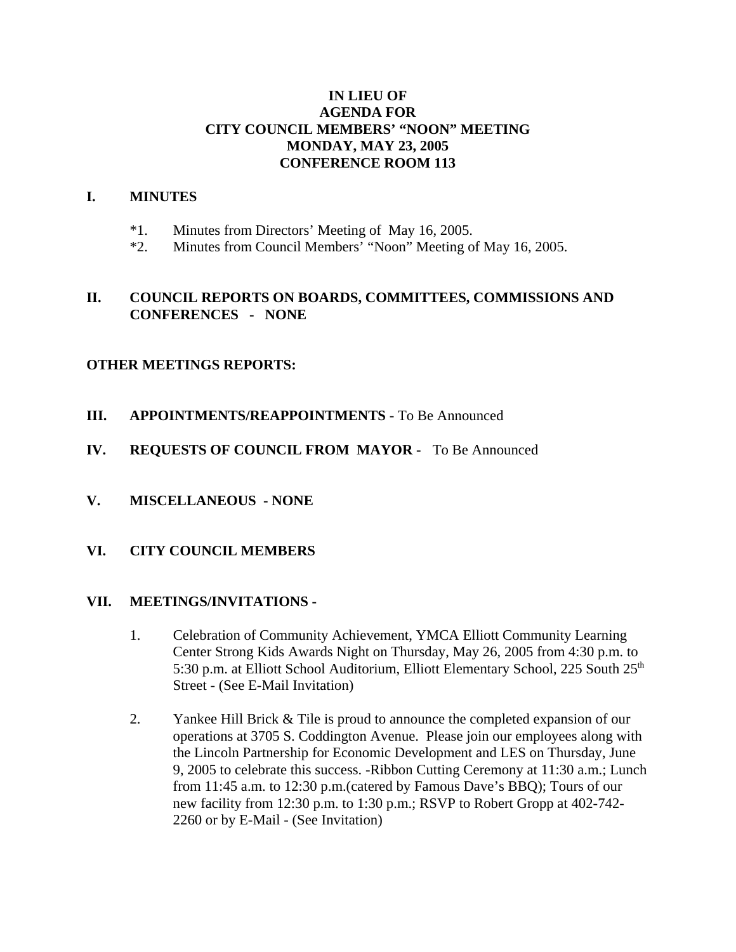## **IN LIEU OF AGENDA FOR CITY COUNCIL MEMBERS' "NOON" MEETING MONDAY, MAY 23, 2005 CONFERENCE ROOM 113**

#### **I. MINUTES**

- \*1. Minutes from Directors' Meeting of May 16, 2005.
- \*2. Minutes from Council Members' "Noon" Meeting of May 16, 2005.

### **II. COUNCIL REPORTS ON BOARDS, COMMITTEES, COMMISSIONS AND CONFERENCES - NONE**

#### **OTHER MEETINGS REPORTS:**

- **III. APPOINTMENTS/REAPPOINTMENTS**  To Be Announced
- **IV. REQUESTS OF COUNCIL FROM MAYOR** To Be Announced
- **V. MISCELLANEOUS NONE**
- **VI. CITY COUNCIL MEMBERS**

#### **VII. MEETINGS/INVITATIONS -**

- 1. Celebration of Community Achievement, YMCA Elliott Community Learning Center Strong Kids Awards Night on Thursday, May 26, 2005 from 4:30 p.m. to 5:30 p.m. at Elliott School Auditorium, Elliott Elementary School, 225 South 25<sup>th</sup> Street - (See E-Mail Invitation)
- 2. Yankee Hill Brick & Tile is proud to announce the completed expansion of our operations at 3705 S. Coddington Avenue. Please join our employees along with the Lincoln Partnership for Economic Development and LES on Thursday, June 9, 2005 to celebrate this success. -Ribbon Cutting Ceremony at 11:30 a.m.; Lunch from 11:45 a.m. to 12:30 p.m.(catered by Famous Dave's BBQ); Tours of our new facility from 12:30 p.m. to 1:30 p.m.; RSVP to Robert Gropp at 402-742- 2260 or by E-Mail - (See Invitation)